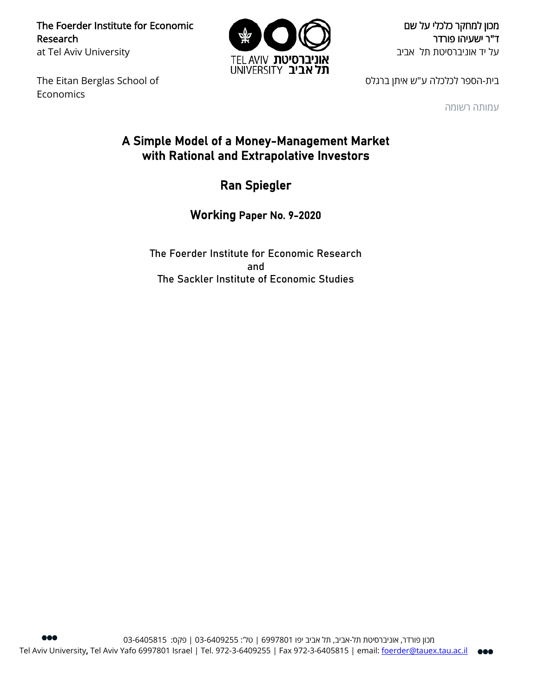The Foerder Institute for Economic Research at Tel Aviv University



מכון למחקר כלכלי על שם ד"ר ישעיהו פורדר על יד אוניברסיטת תל אביב

The Eitan Berglas School of Economics

בית-הספר לכלכלה ע"ש איתן ברגלס

עמותה רשומה

# A Simple Model of a Money-Management Market with Rational and Extrapolative Investors

Ran Spiegler

Working Paper No. 9-2020

The Foerder Institute for Economic Research and The Sackler Institute of Economic Studies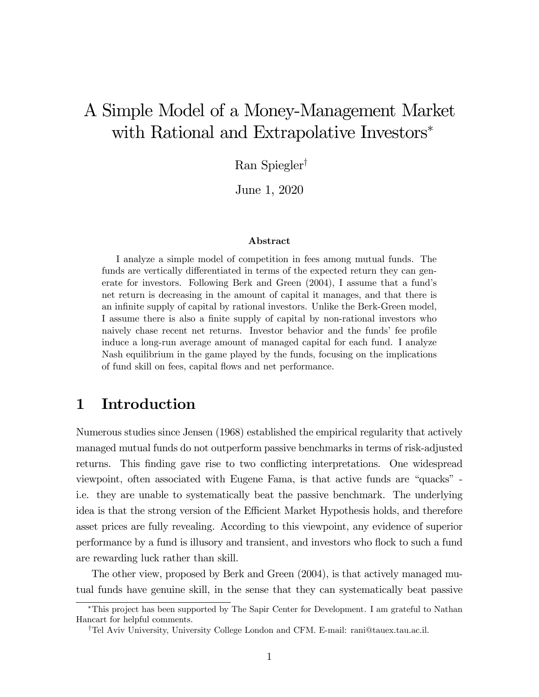# A Simple Model of a Money-Management Market with Rational and Extrapolative Investors<sup>∗</sup>

Ran Spiegler†

June 1, 2020

#### Abstract

I analyze a simple model of competition in fees among mutual funds. The funds are vertically differentiated in terms of the expected return they can generate for investors. Following Berk and Green (2004), I assume that a fund's net return is decreasing in the amount of capital it manages, and that there is an infinite supply of capital by rational investors. Unlike the Berk-Green model, I assume there is also a finite supply of capital by non-rational investors who naively chase recent net returns. Investor behavior and the funds' fee profile induce a long-run average amount of managed capital for each fund. I analyze Nash equilibrium in the game played by the funds, focusing on the implications of fund skill on fees, capital flows and net performance.

## 1 Introduction

Numerous studies since Jensen (1968) established the empirical regularity that actively managed mutual funds do not outperform passive benchmarks in terms of risk-adjusted returns. This finding gave rise to two conflicting interpretations. One widespread viewpoint, often associated with Eugene Fama, is that active funds are "quacks" i.e. they are unable to systematically beat the passive benchmark. The underlying idea is that the strong version of the Efficient Market Hypothesis holds, and therefore asset prices are fully revealing. According to this viewpoint, any evidence of superior performance by a fund is illusory and transient, and investors who flock to such a fund are rewarding luck rather than skill.

The other view, proposed by Berk and Green (2004), is that actively managed mutual funds have genuine skill, in the sense that they can systematically beat passive

<sup>∗</sup>This project has been supported by The Sapir Center for Development. I am grateful to Nathan Hancart for helpful comments.

<sup>†</sup>Tel Aviv University, University College London and CFM. E-mail: rani@tauex.tau.ac.il.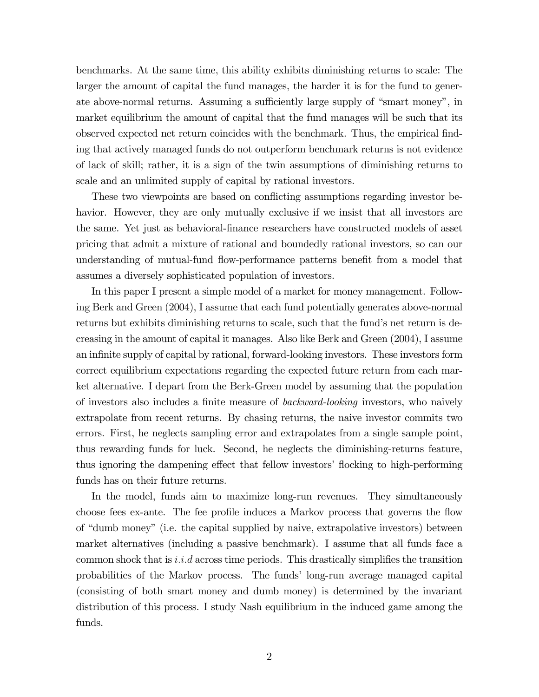benchmarks. At the same time, this ability exhibits diminishing returns to scale: The larger the amount of capital the fund manages, the harder it is for the fund to generate above-normal returns. Assuming a sufficiently large supply of "smart money", in market equilibrium the amount of capital that the fund manages will be such that its observed expected net return coincides with the benchmark. Thus, the empirical finding that actively managed funds do not outperform benchmark returns is not evidence of lack of skill; rather, it is a sign of the twin assumptions of diminishing returns to scale and an unlimited supply of capital by rational investors.

These two viewpoints are based on conflicting assumptions regarding investor behavior. However, they are only mutually exclusive if we insist that all investors are the same. Yet just as behavioral-finance researchers have constructed models of asset pricing that admit a mixture of rational and boundedly rational investors, so can our understanding of mutual-fund flow-performance patterns benefit from a model that assumes a diversely sophisticated population of investors.

In this paper I present a simple model of a market for money management. Following Berk and Green (2004), I assume that each fund potentially generates above-normal returns but exhibits diminishing returns to scale, such that the fund's net return is decreasing in the amount of capital it manages. Also like Berk and Green (2004), I assume an infinite supply of capital by rational, forward-looking investors. These investors form correct equilibrium expectations regarding the expected future return from each market alternative. I depart from the Berk-Green model by assuming that the population of investors also includes a finite measure of backward-looking investors, who naively extrapolate from recent returns. By chasing returns, the naive investor commits two errors. First, he neglects sampling error and extrapolates from a single sample point, thus rewarding funds for luck. Second, he neglects the diminishing-returns feature, thus ignoring the dampening effect that fellow investors' flocking to high-performing funds has on their future returns.

In the model, funds aim to maximize long-run revenues. They simultaneously choose fees ex-ante. The fee profile induces a Markov process that governs the flow of "dumb money" (i.e. the capital supplied by naive, extrapolative investors) between market alternatives (including a passive benchmark). I assume that all funds face a common shock that is *i.i.d* across time periods. This drastically simplifies the transition probabilities of the Markov process. The funds' long-run average managed capital (consisting of both smart money and dumb money) is determined by the invariant distribution of this process. I study Nash equilibrium in the induced game among the funds.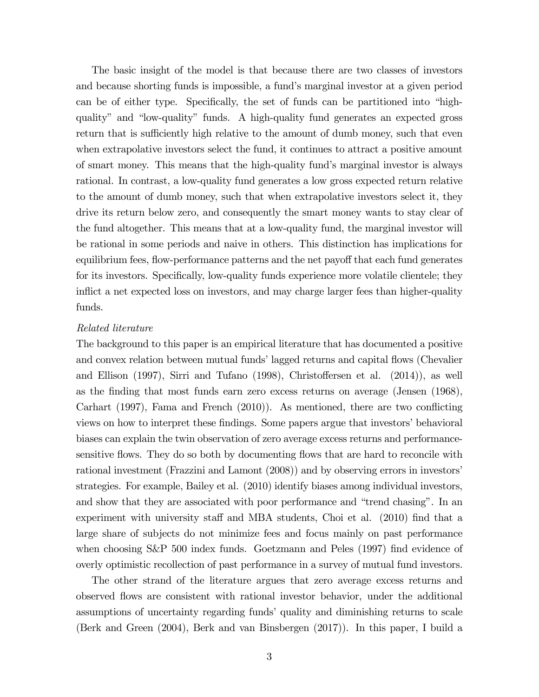The basic insight of the model is that because there are two classes of investors and because shorting funds is impossible, a fund's marginal investor at a given period can be of either type. Specifically, the set of funds can be partitioned into "highquality" and "low-quality" funds. A high-quality fund generates an expected gross return that is sufficiently high relative to the amount of dumb money, such that even when extrapolative investors select the fund, it continues to attract a positive amount of smart money. This means that the high-quality fund's marginal investor is always rational. In contrast, a low-quality fund generates a low gross expected return relative to the amount of dumb money, such that when extrapolative investors select it, they drive its return below zero, and consequently the smart money wants to stay clear of the fund altogether. This means that at a low-quality fund, the marginal investor will be rational in some periods and naive in others. This distinction has implications for equilibrium fees, flow-performance patterns and the net payoff that each fund generates for its investors. Specifically, low-quality funds experience more volatile clientele; they inflict a net expected loss on investors, and may charge larger fees than higher-quality funds.

#### Related literature

The background to this paper is an empirical literature that has documented a positive and convex relation between mutual funds' lagged returns and capital flows (Chevalier and Ellison (1997), Sirri and Tufano (1998), Christoffersen et al. (2014)), as well as the finding that most funds earn zero excess returns on average (Jensen (1968), Carhart (1997), Fama and French (2010)). As mentioned, there are two conflicting views on how to interpret these findings. Some papers argue that investors' behavioral biases can explain the twin observation of zero average excess returns and performancesensitive flows. They do so both by documenting flows that are hard to reconcile with rational investment (Frazzini and Lamont (2008)) and by observing errors in investors' strategies. For example, Bailey et al. (2010) identify biases among individual investors, and show that they are associated with poor performance and "trend chasing". In an experiment with university staff and MBA students, Choi et al. (2010) find that a large share of subjects do not minimize fees and focus mainly on past performance when choosing S&P 500 index funds. Goetzmann and Peles (1997) find evidence of overly optimistic recollection of past performance in a survey of mutual fund investors.

The other strand of the literature argues that zero average excess returns and observed flows are consistent with rational investor behavior, under the additional assumptions of uncertainty regarding funds' quality and diminishing returns to scale (Berk and Green (2004), Berk and van Binsbergen (2017)). In this paper, I build a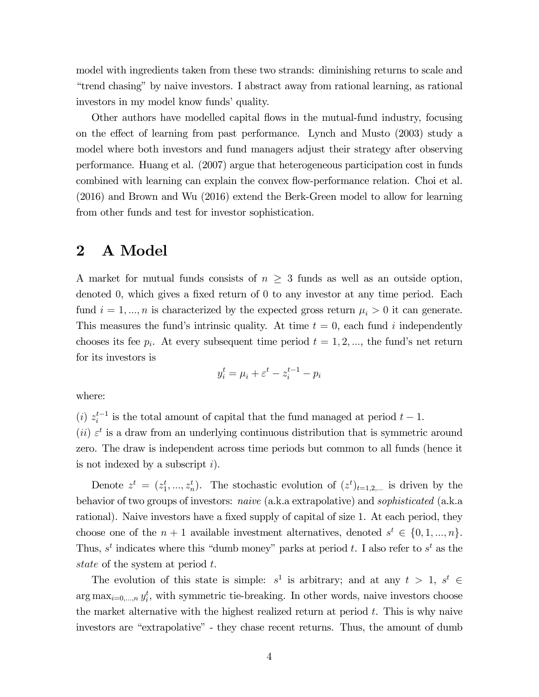model with ingredients taken from these two strands: diminishing returns to scale and "trend chasing" by naive investors. I abstract away from rational learning, as rational investors in my model know funds' quality.

Other authors have modelled capital flows in the mutual-fund industry, focusing on the effect of learning from past performance. Lynch and Musto (2003) study a model where both investors and fund managers adjust their strategy after observing performance. Huang et al. (2007) argue that heterogeneous participation cost in funds combined with learning can explain the convex flow-performance relation. Choi et al. (2016) and Brown and Wu (2016) extend the Berk-Green model to allow for learning from other funds and test for investor sophistication.

### 2 A Model

A market for mutual funds consists of  $n \geq 3$  funds as well as an outside option, denoted 0, which gives a fixed return of 0 to any investor at any time period. Each fund  $i = 1, ..., n$  is characterized by the expected gross return  $\mu_i > 0$  it can generate. This measures the fund's intrinsic quality. At time  $t = 0$ , each fund i independently chooses its fee  $p_i$ . At every subsequent time period  $t = 1, 2, \dots$ , the fund's net return for its investors is

$$
y_i^t = \mu_i + \varepsilon^t - z_i^{t-1} - p_i
$$

where:

(i)  $z_i^{t-1}$  is the total amount of capital that the fund managed at period  $t-1$ .

(ii)  $\varepsilon^t$  is a draw from an underlying continuous distribution that is symmetric around zero. The draw is independent across time periods but common to all funds (hence it is not indexed by a subscript  $i$ ).

Denote  $z^t = (z_1^t, ..., z_n^t)$ . The stochastic evolution of  $(z^t)_{t=1,2,...}$  is driven by the behavior of two groups of investors: naive (a.k.a extrapolative) and sophisticated (a.k.a rational). Naive investors have a fixed supply of capital of size 1. At each period, they choose one of the  $n + 1$  available investment alternatives, denoted  $s^t \in \{0, 1, ..., n\}$ . Thus,  $s^t$  indicates where this "dumb money" parks at period t. I also refer to  $s^t$  as the state of the system at period t.

The evolution of this state is simple:  $s^1$  is arbitrary; and at any  $t > 1$ ,  $s^t \in$  $\arg \max_{i=0,\dots,n} y_i^t$ , with symmetric tie-breaking. In other words, naive investors choose the market alternative with the highest realized return at period  $t$ . This is why naive investors are "extrapolative" - they chase recent returns. Thus, the amount of dumb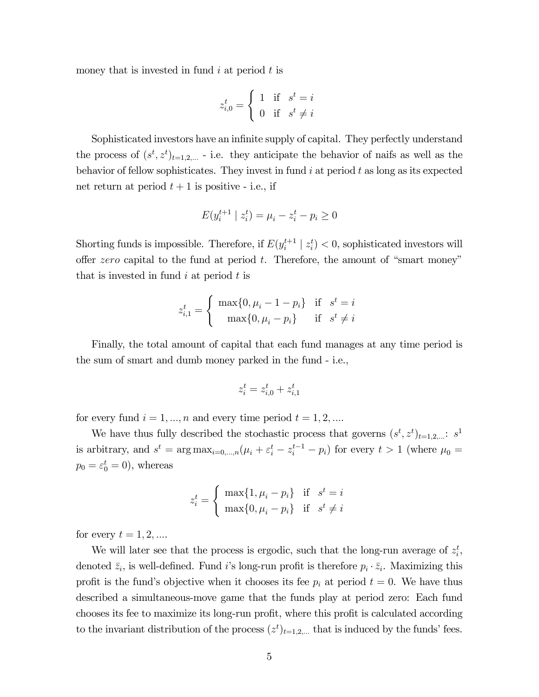money that is invested in fund  $i$  at period  $t$  is

$$
z_{i,0}^t = \begin{cases} 1 & \text{if } s^t = i \\ 0 & \text{if } s^t \neq i \end{cases}
$$

Sophisticated investors have an infinite supply of capital. They perfectly understand the process of  $(s^t, z^t)_{t=1,2,...}$  - i.e. they anticipate the behavior of naifs as well as the behavior of fellow sophisticates. They invest in fund  $i$  at period  $t$  as long as its expected net return at period  $t + 1$  is positive - i.e., if

$$
E(y_i^{t+1} \mid z_i^t) = \mu_i - z_i^t - p_i \ge 0
$$

Shorting funds is impossible. Therefore, if  $E(y_i^{t+1} | z_i^t) < 0$ , sophisticated investors will offer  $zero$  capital to the fund at period  $t$ . Therefore, the amount of "smart money" that is invested in fund  $i$  at period  $t$  is

$$
z_{i,1}^t = \begin{cases} \max\{0, \mu_i - 1 - p_i\} & \text{if } s^t = i \\ \max\{0, \mu_i - p_i\} & \text{if } s^t \neq i \end{cases}
$$

Finally, the total amount of capital that each fund manages at any time period is the sum of smart and dumb money parked in the fund - i.e.,

$$
z_i^t = z_{i,0}^t + z_{i,1}^t
$$

for every fund  $i = 1, ..., n$  and every time period  $t = 1, 2, ...$ 

We have thus fully described the stochastic process that governs  $(s^t, z^t)_{t=1,2,...}$ :  $s^1$ is arbitrary, and  $s^t = \arg \max_{i=0,\dots,n} (\mu_i + \varepsilon_i^t - z_i^{t-1} - p_i)$  for every  $t > 1$  (where  $\mu_0 =$  $p_0 = \varepsilon_0^t = 0$ , whereas

$$
z_i^t = \begin{cases} \max\{1, \mu_i - p_i\} & \text{if } s^t = i \\ \max\{0, \mu_i - p_i\} & \text{if } s^t \neq i \end{cases}
$$

for every  $t = 1, 2, \dots$ 

We will later see that the process is ergodic, such that the long-run average of  $z_i^t$ , denoted  $\bar{z}_i$ , is well-defined. Fund i's long-run profit is therefore  $p_i \cdot \bar{z}_i$ . Maximizing this profit is the fund's objective when it chooses its fee  $p_i$  at period  $t = 0$ . We have thus described a simultaneous-move game that the funds play at period zero: Each fund chooses its fee to maximize its long-run profit, where this profit is calculated according to the invariant distribution of the process  $(z^t)_{t=1,2,...}$  that is induced by the funds' fees.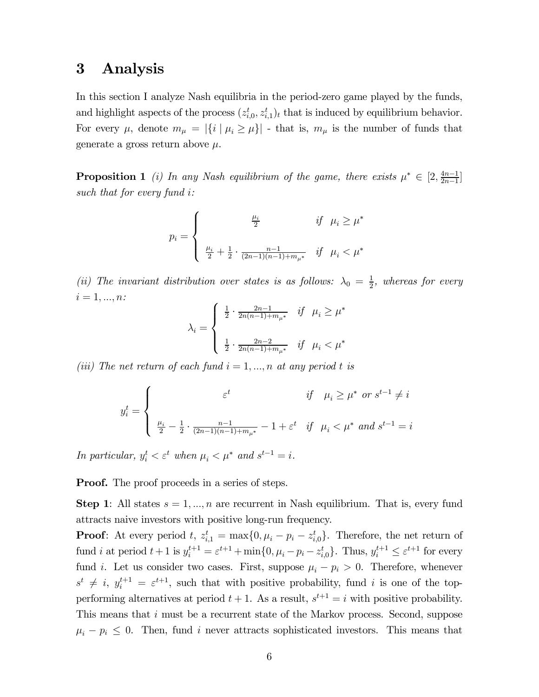### 3 Analysis

In this section I analyze Nash equilibria in the period-zero game played by the funds, and highlight aspects of the process  $(z_{i,0}^t, z_{i,1}^t)_t$  that is induced by equilibrium behavior. For every  $\mu$ , denote  $m_{\mu} = |\{i \mid \mu_i \geq \mu\}|$  - that is,  $m_{\mu}$  is the number of funds that generate a gross return above  $\mu$ .

**Proposition 1** (i) In any Nash equilibrium of the game, there exists  $\mu^* \in [2, \frac{4n-1}{2n-1}]$ such that for every fund  $i$ :

$$
p_i = \left\{ \begin{array}{c} \frac{\mu_i}{2} \quad \ \ \, if \ \ \, \mu_i \geq \mu^* \\ \\ \frac{\mu_i}{2} + \frac{1}{2} \cdot \frac{n-1}{(2n-1)(n-1) + m_{\mu^*}} \quad if \ \ \, \mu_i < \mu^* \end{array} \right.
$$

(ii) The invariant distribution over states is as follows:  $\lambda_0 = \frac{1}{2}$ , whereas for every  $i = 1, ..., n$ :

$$
\lambda_i = \left\{ \begin{array}{ll} \frac{1}{2} \cdot \frac{2n-1}{2n(n-1)+m_{\mu^*}} & \text{if} \quad \mu_i \geq \mu^* \\ \\ \frac{1}{2} \cdot \frac{2n-2}{2n(n-1)+m_{\mu^*}} & \text{if} \quad \mu_i < \mu^* \end{array} \right.
$$

(iii) The net return of each fund  $i = 1, ..., n$  at any period t is

$$
y_i^t = \begin{cases} \n\varepsilon^t & \text{if } \mu_i \ge \mu^* \text{ or } s^{t-1} \ne i \\
\frac{\mu_i}{2} - \frac{1}{2} \cdot \frac{n-1}{(2n-1)(n-1) + m_{\mu^*}} - 1 + \varepsilon^t & \text{if } \mu_i < \mu^* \text{ and } s^{t-1} = i\n\end{cases}
$$

In particular,  $y_i^t < \varepsilon^t$  when  $\mu_i < \mu^*$  and  $s^{t-1} = i$ .

**Proof.** The proof proceeds in a series of steps.

**Step 1**: All states  $s = 1, ..., n$  are recurrent in Nash equilibrium. That is, every fund attracts naive investors with positive long-run frequency.

**Proof**: At every period t,  $z_{i,1}^t = \max\{0, \mu_i - p_i - z_{i,0}^t\}$ . Therefore, the net return of fund *i* at period  $t + 1$  is  $y_i^{t+1} = \varepsilon^{t+1} + \min\{0, \mu_i - p_i - z_{i,0}^t\}$ . Thus,  $y_i^{t+1} \leq \varepsilon^{t+1}$  for every fund *i*. Let us consider two cases. First, suppose  $\mu_i - p_i > 0$ . Therefore, whenever  $s^t \neq i$ ,  $y_i^{t+1} = \varepsilon^{t+1}$ , such that with positive probability, fund i is one of the topperforming alternatives at period  $t + 1$ . As a result,  $s^{t+1} = i$  with positive probability. This means that  $i$  must be a recurrent state of the Markov process. Second, suppose  $\mu_i - p_i \leq 0$ . Then, fund *i* never attracts sophisticated investors. This means that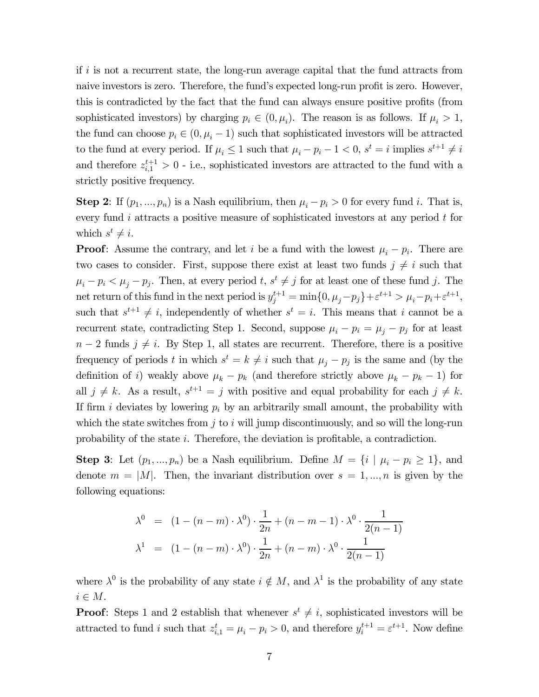if  $i$  is not a recurrent state, the long-run average capital that the fund attracts from naive investors is zero. Therefore, the fund's expected long-run profit is zero. However, this is contradicted by the fact that the fund can always ensure positive profits (from sophisticated investors) by charging  $p_i \in (0, \mu_i)$ . The reason is as follows. If  $\mu_i > 1$ , the fund can choose  $p_i \in (0, \mu_i - 1)$  such that sophisticated investors will be attracted to the fund at every period. If  $\mu_i \leq 1$  such that  $\mu_i - p_i - 1 < 0$ ,  $s^t = i$  implies  $s^{t+1} \neq i$ and therefore  $z_{i,1}^{t+1} > 0$  - i.e., sophisticated investors are attracted to the fund with a strictly positive frequency.

**Step 2:** If  $(p_1, ..., p_n)$  is a Nash equilibrium, then  $\mu_i - p_i > 0$  for every fund i. That is, every fund  $i$  attracts a positive measure of sophisticated investors at any period  $t$  for which  $s^t \neq i$ .

**Proof:** Assume the contrary, and let i be a fund with the lowest  $\mu_i - p_i$ . There are two cases to consider. First, suppose there exist at least two funds  $j \neq i$  such that  $\mu_i - p_i < \mu_j - p_j$ . Then, at every period  $t, s^t \neq j$  for at least one of these fund j. The net return of this fund in the next period is  $y_j^{t+1} = \min\{0, \mu_j - p_j\} + \varepsilon^{t+1} > \mu_i - p_i + \varepsilon^{t+1},$ such that  $s^{t+1} \neq i$ , independently of whether  $s^t = i$ . This means that i cannot be a recurrent state, contradicting Step 1. Second, suppose  $\mu_i - p_i = \mu_j - p_j$  for at least  $n-2$  funds  $j \neq i$ . By Step 1, all states are recurrent. Therefore, there is a positive frequency of periods t in which  $s^t = k \neq i$  such that  $\mu_j - p_j$  is the same and (by the definition of i) weakly above  $\mu_k - p_k$  (and therefore strictly above  $\mu_k - p_k - 1$ ) for all  $j \neq k$ . As a result,  $s^{t+1} = j$  with positive and equal probability for each  $j \neq k$ . If firm *i* deviates by lowering  $p_i$  by an arbitrarily small amount, the probability with which the state switches from  $j$  to  $i$  will jump discontinuously, and so will the long-run probability of the state  $i$ . Therefore, the deviation is profitable, a contradiction.

**Step 3**: Let  $(p_1, ..., p_n)$  be a Nash equilibrium. Define  $M = \{i \mid \mu_i - p_i \geq 1\}$ , and denote  $m = |M|$ . Then, the invariant distribution over  $s = 1, ..., n$  is given by the following equations:

$$
\lambda^{0} = (1 - (n - m) \cdot \lambda^{0}) \cdot \frac{1}{2n} + (n - m - 1) \cdot \lambda^{0} \cdot \frac{1}{2(n - 1)}
$$
  

$$
\lambda^{1} = (1 - (n - m) \cdot \lambda^{0}) \cdot \frac{1}{2n} + (n - m) \cdot \lambda^{0} \cdot \frac{1}{2(n - 1)}
$$

where  $\lambda^0$  is the probability of any state  $i \notin M$ , and  $\lambda^1$  is the probability of any state  $i \in M$ .

**Proof:** Steps 1 and 2 establish that whenever  $s^t \neq i$ , sophisticated investors will be attracted to fund *i* such that  $z_{i,1}^t = \mu_i - p_i > 0$ , and therefore  $y_i^{t+1} = \varepsilon^{t+1}$ . Now define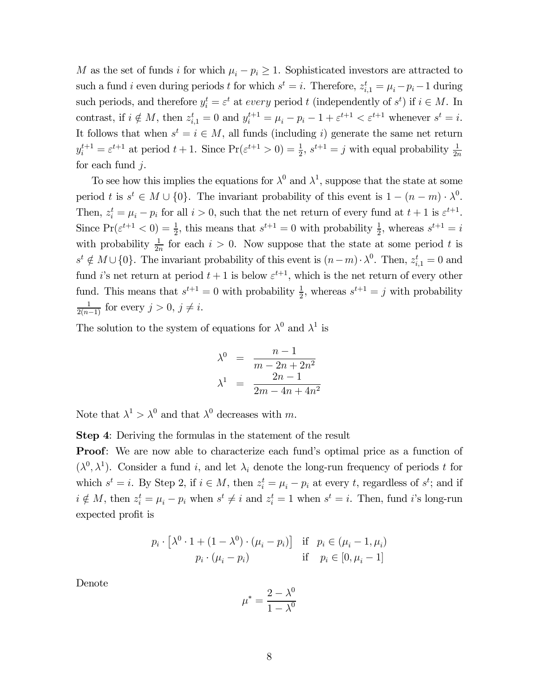M as the set of funds *i* for which  $\mu_i - p_i \geq 1$ . Sophisticated investors are attracted to such a fund *i* even during periods *t* for which  $s^t = i$ . Therefore,  $z_{i,1}^t = \mu_i - p_i - 1$  during such periods, and therefore  $y_i^t = \varepsilon^t$  at every period t (independently of  $s^t$ ) if  $i \in M$ . In contrast, if  $i \notin M$ , then  $z_{i,1}^t = 0$  and  $y_i^{t+1} = \mu_i - p_i - 1 + \varepsilon^{t+1} < \varepsilon^{t+1}$  whenever  $s^t = i$ . It follows that when  $s^t = i \in M$ , all funds (including i) generate the same net return  $y_i^{t+1} = \varepsilon^{t+1}$  at period  $t+1$ . Since  $\Pr(\varepsilon^{t+1} > 0) = \frac{1}{2}$ ,  $s^{t+1} = j$  with equal probability  $\frac{1}{2n}$ for each fund  $j$ .

To see how this implies the equations for  $\lambda^0$  and  $\lambda^1$ , suppose that the state at some period *t* is  $s^t \in M \cup \{0\}$ . The invariant probability of this event is  $1 - (n - m) \cdot \lambda^0$ . Then,  $z_i^t = \mu_i - p_i$  for all  $i > 0$ , such that the net return of every fund at  $t + 1$  is  $\varepsilon^{t+1}$ . Since  $Pr(\varepsilon^{t+1} < 0) = \frac{1}{2}$ , this means that  $s^{t+1} = 0$  with probability  $\frac{1}{2}$ , whereas  $s^{t+1} = i$ with probability  $\frac{1}{2n}$  for each  $i > 0$ . Now suppose that the state at some period t is  $s^t \notin M \cup \{0\}$ . The invariant probability of this event is  $(n-m) \cdot \lambda^0$ . Then,  $z_{i,1}^t = 0$  and fund *i*'s net return at period  $t + 1$  is below  $\varepsilon^{t+1}$ , which is the net return of every other fund. This means that  $s^{t+1} = 0$  with probability  $\frac{1}{2}$ , whereas  $s^{t+1} = j$  with probability  $\frac{1}{2(n-1)}$  for every  $j > 0, j \neq i$ .

The solution to the system of equations for  $\lambda^0$  and  $\lambda^1$  is

$$
\lambda^{0} = \frac{n-1}{m-2n+2n^{2}}
$$

$$
\lambda^{1} = \frac{2n-1}{2m-4n+4n^{2}}
$$

Note that  $\lambda^1 > \lambda^0$  and that  $\lambda^0$  decreases with m.

Step 4: Deriving the formulas in the statement of the result

Proof: We are now able to characterize each fund's optimal price as a function of  $(\lambda^0, \lambda^1)$ . Consider a fund i, and let  $\lambda_i$  denote the long-run frequency of periods t for which  $s^t = i$ . By Step 2, if  $i \in M$ , then  $z_i^t = \mu_i - p_i$  at every t, regardless of  $s^t$ ; and if  $i \notin M$ , then  $z_i^t = \mu_i - p_i$  when  $s^t \neq i$  and  $z_i^t = 1$  when  $s^t = i$ . Then, fund i's long-run expected profit is

$$
p_i \cdot \left[\lambda^0 \cdot 1 + (1 - \lambda^0) \cdot (\mu_i - p_i)\right] \quad \text{if} \quad p_i \in (\mu_i - 1, \mu_i)
$$

$$
p_i \cdot (\mu_i - p_i) \qquad \text{if} \quad p_i \in [0, \mu_i - 1]
$$

Denote

$$
\mu^* = \frac{2 - \lambda^0}{1 - \lambda^0}
$$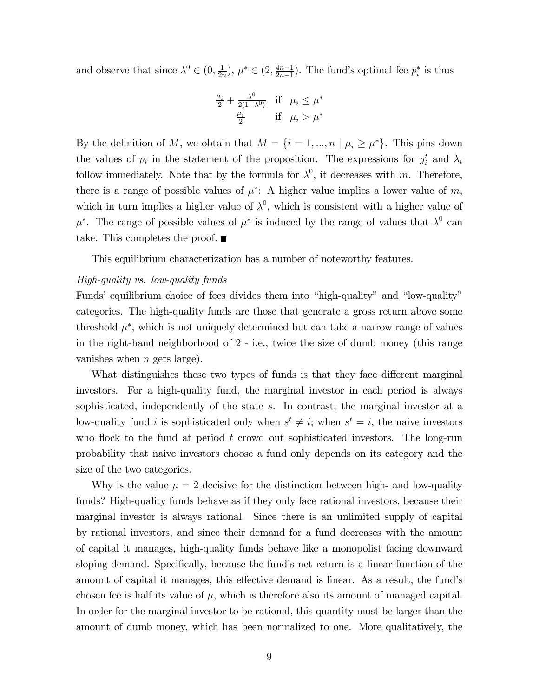and observe that since  $\lambda^0 \in (0, \frac{1}{2n}), \mu^* \in (2, \frac{4n-1}{2n-1})$ . The fund's optimal fee  $p_i^*$  is thus

$$
\frac{\mu_i}{2} + \frac{\lambda^0}{2(1-\lambda^0)} \quad \text{if} \quad \mu_i \le \mu^*
$$
  

$$
\frac{\mu_i}{2} \quad \text{if} \quad \mu_i > \mu^*
$$

By the definition of M, we obtain that  $M = \{i = 1, ..., n | \mu_i \geq \mu^*\}$ . This pins down the values of  $p_i$  in the statement of the proposition. The expressions for  $y_i^t$  and  $\lambda_i$ follow immediately. Note that by the formula for  $\lambda^0$ , it decreases with m. Therefore, there is a range of possible values of  $\mu^*$ : A higher value implies a lower value of m, which in turn implies a higher value of  $\lambda^0$ , which is consistent with a higher value of  $\mu^*$ . The range of possible values of  $\mu^*$  is induced by the range of values that  $\lambda^0$  can take. This completes the proof.  $\blacksquare$ 

This equilibrium characterization has a number of noteworthy features.

#### High-quality vs. low-quality funds

Funds' equilibrium choice of fees divides them into "high-quality" and "low-quality" categories. The high-quality funds are those that generate a gross return above some threshold  $\mu^*$ , which is not uniquely determined but can take a narrow range of values in the right-hand neighborhood of 2 - i.e., twice the size of dumb money (this range vanishes when  $n$  gets large).

What distinguishes these two types of funds is that they face different marginal investors. For a high-quality fund, the marginal investor in each period is always sophisticated, independently of the state  $s$ . In contrast, the marginal investor at a low-quality fund *i* is sophisticated only when  $s^t \neq i$ ; when  $s^t = i$ , the naive investors who flock to the fund at period  $t$  crowd out sophisticated investors. The long-run probability that naive investors choose a fund only depends on its category and the size of the two categories.

Why is the value  $\mu = 2$  decisive for the distinction between high- and low-quality funds? High-quality funds behave as if they only face rational investors, because their marginal investor is always rational. Since there is an unlimited supply of capital by rational investors, and since their demand for a fund decreases with the amount of capital it manages, high-quality funds behave like a monopolist facing downward sloping demand. Specifically, because the fund's net return is a linear function of the amount of capital it manages, this effective demand is linear. As a result, the fund's chosen fee is half its value of  $\mu$ , which is therefore also its amount of managed capital. In order for the marginal investor to be rational, this quantity must be larger than the amount of dumb money, which has been normalized to one. More qualitatively, the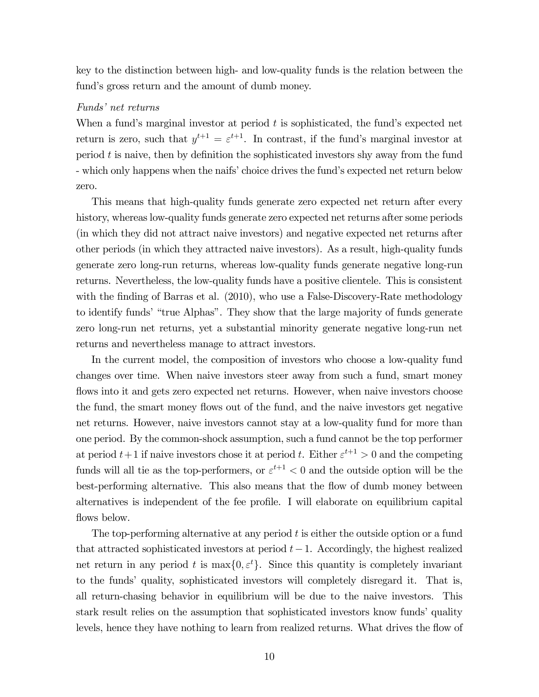key to the distinction between high- and low-quality funds is the relation between the fund's gross return and the amount of dumb money.

#### Funds' net returns

When a fund's marginal investor at period  $t$  is sophisticated, the fund's expected net return is zero, such that  $y^{t+1} = \varepsilon^{t+1}$ . In contrast, if the fund's marginal investor at period  $t$  is naive, then by definition the sophisticated investors shy away from the fund - which only happens when the naifs' choice drives the fund's expected net return below zero.

This means that high-quality funds generate zero expected net return after every history, whereas low-quality funds generate zero expected net returns after some periods (in which they did not attract naive investors) and negative expected net returns after other periods (in which they attracted naive investors). As a result, high-quality funds generate zero long-run returns, whereas low-quality funds generate negative long-run returns. Nevertheless, the low-quality funds have a positive clientele. This is consistent with the finding of Barras et al. (2010), who use a False-Discovery-Rate methodology to identify funds' "true Alphas". They show that the large majority of funds generate zero long-run net returns, yet a substantial minority generate negative long-run net returns and nevertheless manage to attract investors.

In the current model, the composition of investors who choose a low-quality fund changes over time. When naive investors steer away from such a fund, smart money flows into it and gets zero expected net returns. However, when naive investors choose the fund, the smart money flows out of the fund, and the naive investors get negative net returns. However, naive investors cannot stay at a low-quality fund for more than one period. By the common-shock assumption, such a fund cannot be the top performer at period  $t+1$  if naive investors chose it at period t. Either  $\varepsilon^{t+1} > 0$  and the competing funds will all tie as the top-performers, or  $\varepsilon^{t+1}$  < 0 and the outside option will be the best-performing alternative. This also means that the flow of dumb money between alternatives is independent of the fee profile. I will elaborate on equilibrium capital flows below.

The top-performing alternative at any period  $t$  is either the outside option or a fund that attracted sophisticated investors at period  $t-1$ . Accordingly, the highest realized net return in any period t is  $\max\{0, \varepsilon^t\}$ . Since this quantity is completely invariant to the funds' quality, sophisticated investors will completely disregard it. That is, all return-chasing behavior in equilibrium will be due to the naive investors. This stark result relies on the assumption that sophisticated investors know funds' quality levels, hence they have nothing to learn from realized returns. What drives the flow of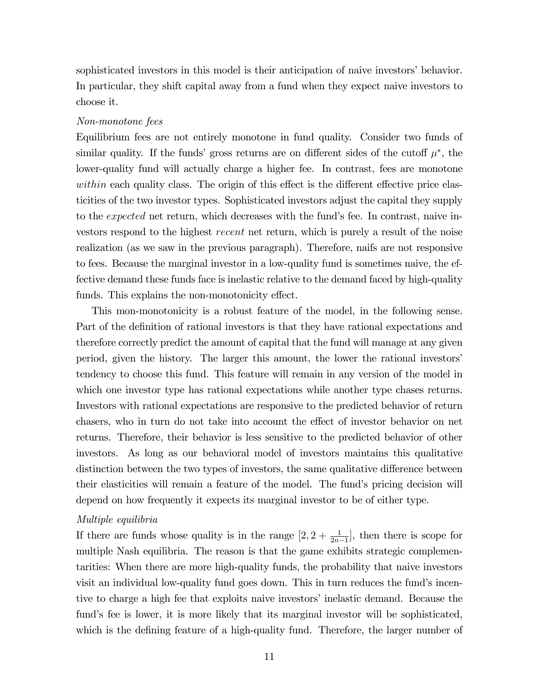sophisticated investors in this model is their anticipation of naive investors' behavior. In particular, they shift capital away from a fund when they expect naive investors to choose it.

#### Non-monotone fees

Equilibrium fees are not entirely monotone in fund quality. Consider two funds of similar quality. If the funds' gross returns are on different sides of the cutoff  $\mu^*$ , the lower-quality fund will actually charge a higher fee. In contrast, fees are monotone within each quality class. The origin of this effect is the different effective price elasticities of the two investor types. Sophisticated investors adjust the capital they supply to the *expected* net return, which decreases with the fund's fee. In contrast, naive investors respond to the highest *recent* net return, which is purely a result of the noise realization (as we saw in the previous paragraph). Therefore, naifs are not responsive to fees. Because the marginal investor in a low-quality fund is sometimes naive, the effective demand these funds face is inelastic relative to the demand faced by high-quality funds. This explains the non-monotonicity effect.

This mon-monotonicity is a robust feature of the model, in the following sense. Part of the definition of rational investors is that they have rational expectations and therefore correctly predict the amount of capital that the fund will manage at any given period, given the history. The larger this amount, the lower the rational investors' tendency to choose this fund. This feature will remain in any version of the model in which one investor type has rational expectations while another type chases returns. Investors with rational expectations are responsive to the predicted behavior of return chasers, who in turn do not take into account the effect of investor behavior on net returns. Therefore, their behavior is less sensitive to the predicted behavior of other investors. As long as our behavioral model of investors maintains this qualitative distinction between the two types of investors, the same qualitative difference between their elasticities will remain a feature of the model. The fund's pricing decision will depend on how frequently it expects its marginal investor to be of either type.

#### Multiple equilibria

If there are funds whose quality is in the range  $[2, 2 + \frac{1}{2n-1}]$ , then there is scope for multiple Nash equilibria. The reason is that the game exhibits strategic complementarities: When there are more high-quality funds, the probability that naive investors visit an individual low-quality fund goes down. This in turn reduces the fund's incentive to charge a high fee that exploits naive investors' inelastic demand. Because the fund's fee is lower, it is more likely that its marginal investor will be sophisticated, which is the defining feature of a high-quality fund. Therefore, the larger number of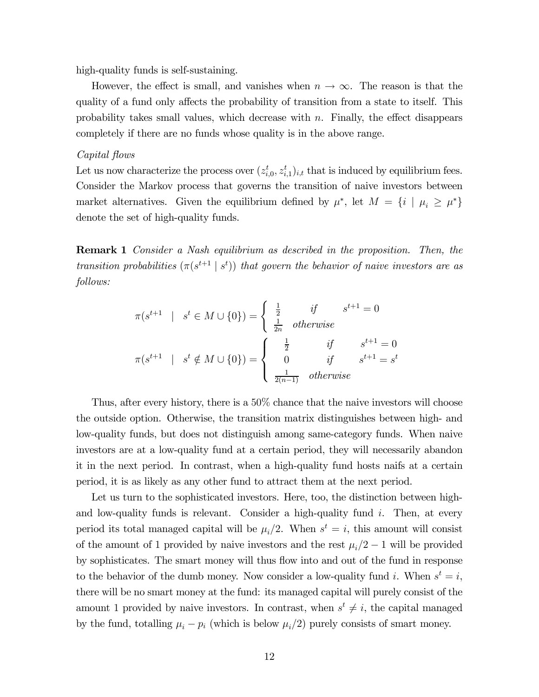high-quality funds is self-sustaining.

However, the effect is small, and vanishes when  $n \to \infty$ . The reason is that the quality of a fund only affects the probability of transition from a state to itself. This probability takes small values, which decrease with  $n$ . Finally, the effect disappears completely if there are no funds whose quality is in the above range.

#### Capital flows

Let us now characterize the process over  $(z_{i,0}^t, z_{i,1}^t)_{i,t}$  that is induced by equilibrium fees. Consider the Markov process that governs the transition of naive investors between market alternatives. Given the equilibrium defined by  $\mu^*$ , let  $M = \{i \mid \mu_i \geq \mu^*\}$ denote the set of high-quality funds.

Remark 1 Consider a Nash equilibrium as described in the proposition. Then, the transition probabilities  $(\pi(s^{t+1} | s^t))$  that govern the behavior of naive investors are as follows:

$$
\pi(s^{t+1} \mid s^t \in M \cup \{0\}) = \begin{cases} \frac{1}{2} & \text{if } s^{t+1} = 0 \\ \frac{1}{2n} & \text{otherwise} \end{cases}
$$

$$
\pi(s^{t+1} \mid s^t \notin M \cup \{0\}) = \begin{cases} \frac{1}{2} & \text{if } s^{t+1} = 0 \\ 0 & \text{if } s^{t+1} = s^t \\ \frac{1}{2(n-1)} & \text{otherwise} \end{cases}
$$

Thus, after every history, there is a 50% chance that the naive investors will choose the outside option. Otherwise, the transition matrix distinguishes between high- and low-quality funds, but does not distinguish among same-category funds. When naive investors are at a low-quality fund at a certain period, they will necessarily abandon it in the next period. In contrast, when a high-quality fund hosts naifs at a certain period, it is as likely as any other fund to attract them at the next period.

Let us turn to the sophisticated investors. Here, too, the distinction between highand low-quality funds is relevant. Consider a high-quality fund  $i$ . Then, at every period its total managed capital will be  $\mu_i/2$ . When  $s^t = i$ , this amount will consist of the amount of 1 provided by naive investors and the rest  $\mu_i/2 - 1$  will be provided by sophisticates. The smart money will thus flow into and out of the fund in response to the behavior of the dumb money. Now consider a low-quality fund i. When  $s^t = i$ , there will be no smart money at the fund: its managed capital will purely consist of the amount 1 provided by naive investors. In contrast, when  $s^t \neq i$ , the capital managed by the fund, totalling  $\mu_i - p_i$  (which is below  $\mu_i/2$ ) purely consists of smart money.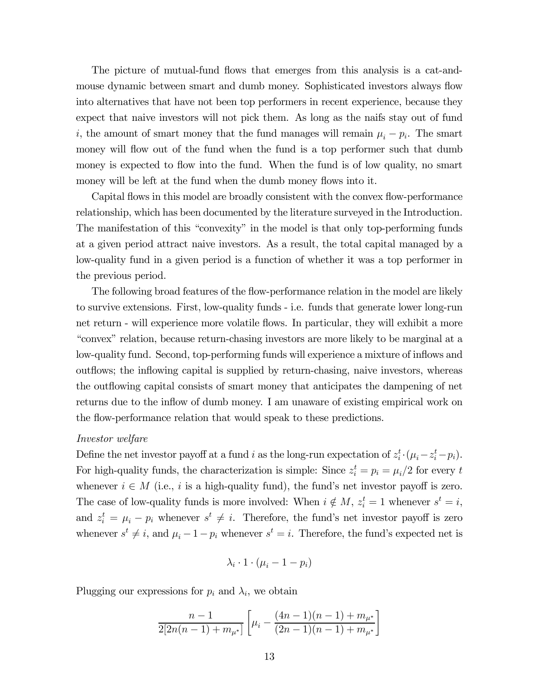The picture of mutual-fund flows that emerges from this analysis is a cat-andmouse dynamic between smart and dumb money. Sophisticated investors always flow into alternatives that have not been top performers in recent experience, because they expect that naive investors will not pick them. As long as the naifs stay out of fund i, the amount of smart money that the fund manages will remain  $\mu_i - p_i$ . The smart money will flow out of the fund when the fund is a top performer such that dumb money is expected to flow into the fund. When the fund is of low quality, no smart money will be left at the fund when the dumb money flows into it.

Capital flows in this model are broadly consistent with the convex flow-performance relationship, which has been documented by the literature surveyed in the Introduction. The manifestation of this "convexity" in the model is that only top-performing funds at a given period attract naive investors. As a result, the total capital managed by a low-quality fund in a given period is a function of whether it was a top performer in the previous period.

The following broad features of the flow-performance relation in the model are likely to survive extensions. First, low-quality funds - i.e. funds that generate lower long-run net return - will experience more volatile flows. In particular, they will exhibit a more "convex" relation, because return-chasing investors are more likely to be marginal at a low-quality fund. Second, top-performing funds will experience a mixture of inflows and outflows; the inflowing capital is supplied by return-chasing, naive investors, whereas the outflowing capital consists of smart money that anticipates the dampening of net returns due to the inflow of dumb money. I am unaware of existing empirical work on the flow-performance relation that would speak to these predictions.

#### Investor welfare

Define the net investor payoff at a fund *i* as the long-run expectation of  $z_i^t \cdot (\mu_i - z_i^t - p_i)$ . For high-quality funds, the characterization is simple: Since  $z_i^t = p_i = \mu_i/2$  for every t whenever  $i \in M$  (i.e., i is a high-quality fund), the fund's net investor payoff is zero. The case of low-quality funds is more involved: When  $i \notin M$ ,  $z_i^t = 1$  whenever  $s^t = i$ , and  $z_i^t = \mu_i - p_i$  whenever  $s^t \neq i$ . Therefore, the fund's net investor payoff is zero whenever  $s^t \neq i$ , and  $\mu_i - 1 - p_i$  whenever  $s^t = i$ . Therefore, the fund's expected net is

$$
\lambda_i \cdot 1 \cdot (\mu_i - 1 - p_i)
$$

Plugging our expressions for  $p_i$  and  $\lambda_i$ , we obtain

$$
\frac{n-1}{2[2n(n-1)+m_{\mu^*}]} \left[ \mu_i - \frac{(4n-1)(n-1)+m_{\mu^*}}{(2n-1)(n-1)+m_{\mu^*}} \right]
$$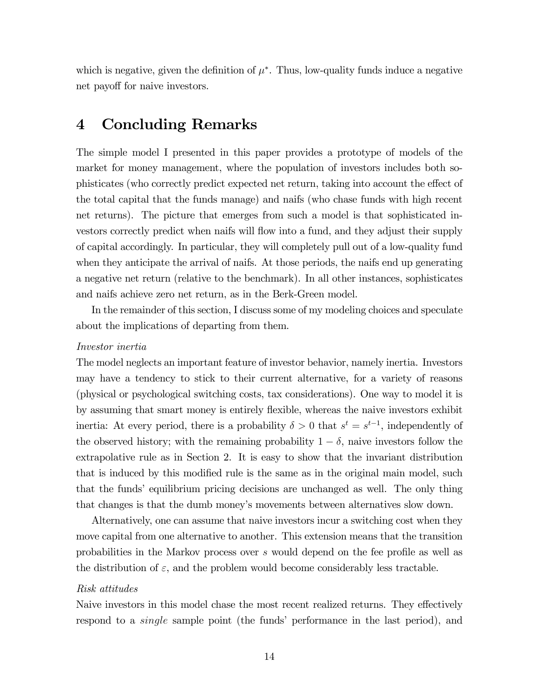which is negative, given the definition of  $\mu^*$ . Thus, low-quality funds induce a negative net payoff for naive investors.

### 4 Concluding Remarks

The simple model I presented in this paper provides a prototype of models of the market for money management, where the population of investors includes both sophisticates (who correctly predict expected net return, taking into account the effect of the total capital that the funds manage) and naifs (who chase funds with high recent net returns). The picture that emerges from such a model is that sophisticated investors correctly predict when naifs will flow into a fund, and they adjust their supply of capital accordingly. In particular, they will completely pull out of a low-quality fund when they anticipate the arrival of naifs. At those periods, the naifs end up generating a negative net return (relative to the benchmark). In all other instances, sophisticates and naifs achieve zero net return, as in the Berk-Green model.

In the remainder of this section, I discuss some of my modeling choices and speculate about the implications of departing from them.

#### Investor inertia

The model neglects an important feature of investor behavior, namely inertia. Investors may have a tendency to stick to their current alternative, for a variety of reasons (physical or psychological switching costs, tax considerations). One way to model it is by assuming that smart money is entirely flexible, whereas the naive investors exhibit inertia: At every period, there is a probability  $\delta > 0$  that  $s^t = s^{t-1}$ , independently of the observed history; with the remaining probability  $1 - \delta$ , naive investors follow the extrapolative rule as in Section 2. It is easy to show that the invariant distribution that is induced by this modified rule is the same as in the original main model, such that the funds' equilibrium pricing decisions are unchanged as well. The only thing that changes is that the dumb money's movements between alternatives slow down.

Alternatively, one can assume that naive investors incur a switching cost when they move capital from one alternative to another. This extension means that the transition probabilities in the Markov process over would depend on the fee profile as well as the distribution of  $\varepsilon$ , and the problem would become considerably less tractable.

#### Risk attitudes

Naive investors in this model chase the most recent realized returns. They effectively respond to a *single* sample point (the funds' performance in the last period), and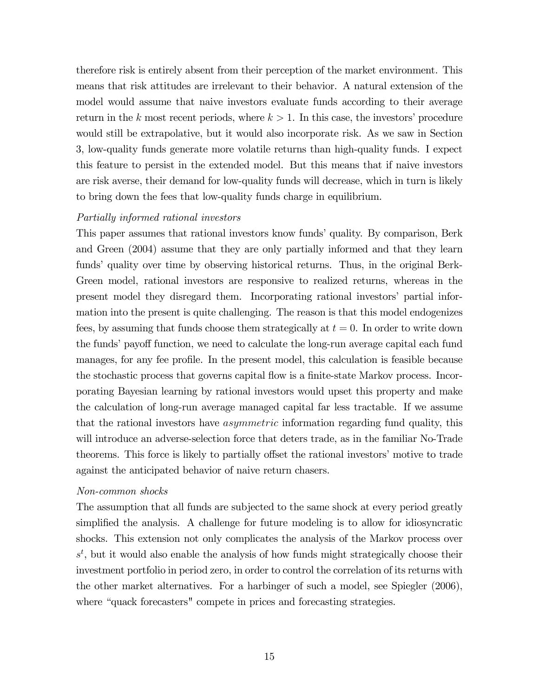therefore risk is entirely absent from their perception of the market environment. This means that risk attitudes are irrelevant to their behavior. A natural extension of the model would assume that naive investors evaluate funds according to their average return in the k most recent periods, where  $k > 1$ . In this case, the investors' procedure would still be extrapolative, but it would also incorporate risk. As we saw in Section 3, low-quality funds generate more volatile returns than high-quality funds. I expect this feature to persist in the extended model. But this means that if naive investors are risk averse, their demand for low-quality funds will decrease, which in turn is likely to bring down the fees that low-quality funds charge in equilibrium.

#### Partially informed rational investors

This paper assumes that rational investors know funds' quality. By comparison, Berk and Green (2004) assume that they are only partially informed and that they learn funds' quality over time by observing historical returns. Thus, in the original Berk-Green model, rational investors are responsive to realized returns, whereas in the present model they disregard them. Incorporating rational investors' partial information into the present is quite challenging. The reason is that this model endogenizes fees, by assuming that funds choose them strategically at  $t = 0$ . In order to write down the funds' payoff function, we need to calculate the long-run average capital each fund manages, for any fee profile. In the present model, this calculation is feasible because the stochastic process that governs capital flow is a finite-state Markov process. Incorporating Bayesian learning by rational investors would upset this property and make the calculation of long-run average managed capital far less tractable. If we assume that the rational investors have *asymmetric* information regarding fund quality, this will introduce an adverse-selection force that deters trade, as in the familiar No-Trade theorems. This force is likely to partially offset the rational investors' motive to trade against the anticipated behavior of naive return chasers.

#### Non-common shocks

The assumption that all funds are subjected to the same shock at every period greatly simplified the analysis. A challenge for future modeling is to allow for idiosyncratic shocks. This extension not only complicates the analysis of the Markov process over  $s<sup>t</sup>$ , but it would also enable the analysis of how funds might strategically choose their investment portfolio in period zero, in order to control the correlation of its returns with the other market alternatives. For a harbinger of such a model, see Spiegler (2006), where "quack forecasters" compete in prices and forecasting strategies.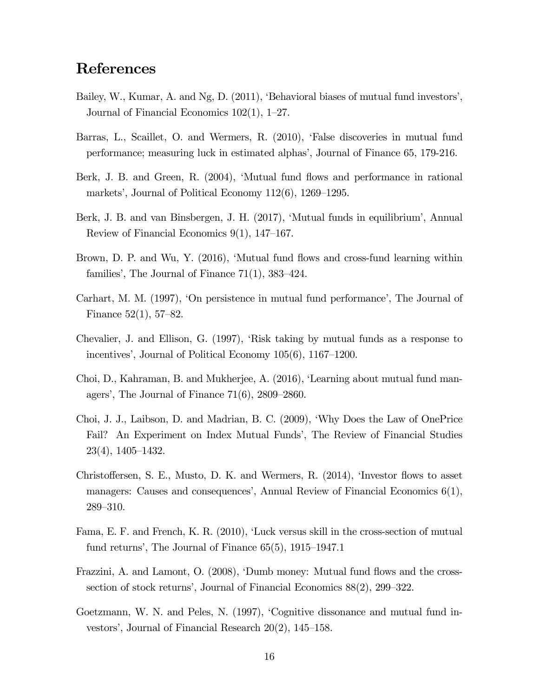## References

- Bailey, W., Kumar, A. and Ng, D. (2011), 'Behavioral biases of mutual fund investors', Journal of Financial Economics 102(1), 1—27.
- Barras, L., Scaillet, O. and Wermers, R. (2010), 'False discoveries in mutual fund performance; measuring luck in estimated alphas', Journal of Finance 65, 179-216.
- Berk, J. B. and Green, R. (2004), 'Mutual fund flows and performance in rational markets', Journal of Political Economy 112(6), 1269—1295.
- Berk, J. B. and van Binsbergen, J. H. (2017), 'Mutual funds in equilibrium', Annual Review of Financial Economics 9(1), 147—167.
- Brown, D. P. and Wu, Y. (2016), 'Mutual fund flows and cross-fund learning within families', The Journal of Finance 71(1), 383—424.
- Carhart, M. M. (1997), 'On persistence in mutual fund performance', The Journal of Finance 52(1), 57—82.
- Chevalier, J. and Ellison, G. (1997), 'Risk taking by mutual funds as a response to incentives', Journal of Political Economy 105(6), 1167—1200.
- Choi, D., Kahraman, B. and Mukherjee, A. (2016), 'Learning about mutual fund managers', The Journal of Finance 71(6), 2809—2860.
- Choi, J. J., Laibson, D. and Madrian, B. C. (2009), 'Why Does the Law of OnePrice Fail? An Experiment on Index Mutual Funds', The Review of Financial Studies 23(4), 1405—1432.
- Christoffersen, S. E., Musto, D. K. and Wermers, R. (2014), 'Investor flows to asset managers: Causes and consequences', Annual Review of Financial Economics 6(1), 289—310.
- Fama, E. F. and French, K. R. (2010), 'Luck versus skill in the cross-section of mutual fund returns', The Journal of Finance 65(5), 1915—1947.1
- Frazzini, A. and Lamont, O. (2008), 'Dumb money: Mutual fund flows and the crosssection of stock returns', Journal of Financial Economics 88(2), 299—322.
- Goetzmann, W. N. and Peles, N. (1997), 'Cognitive dissonance and mutual fund investors', Journal of Financial Research 20(2), 145—158.